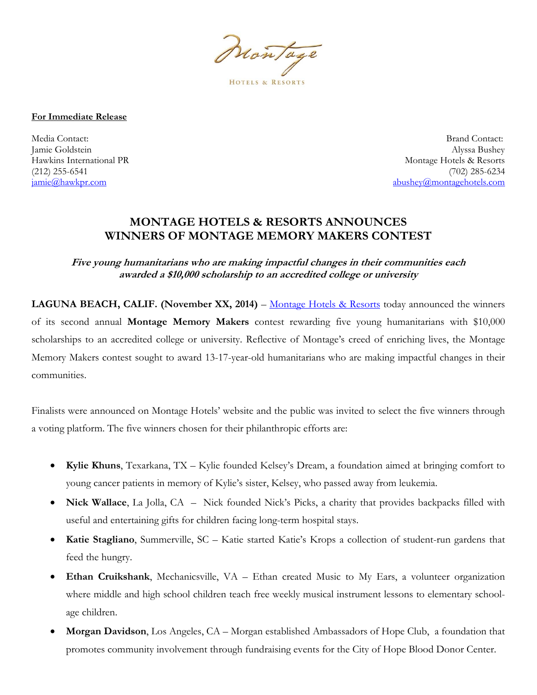Nontage **HOTELS & RESORTS** 

**For Immediate Release** 

Media Contact: Brand Contact: Jamie Goldstein Alyssa Bushey Hawkins International PR and The Montage Hotels & Resorts (212) 255-6541 (702) 285-6234 jamie@hawkpr.com abushey@montagehotels.com

## **MONTAGE HOTELS & RESORTS ANNOUNCES WINNERS OF MONTAGE MEMORY MAKERS CONTEST**

**Five young humanitarians who are making impactful changes in their communities each awarded a \$10,000 scholarship to an accredited college or university** 

**LAGUNA BEACH, CALIF. (November XX, 2014)** – Montage Hotels & Resorts today announced the winners of its second annual **Montage Memory Makers** contest rewarding five young humanitarians with \$10,000 scholarships to an accredited college or university. Reflective of Montage's creed of enriching lives, the Montage Memory Makers contest sought to award 13-17-year-old humanitarians who are making impactful changes in their communities.

Finalists were announced on Montage Hotels' website and the public was invited to select the five winners through a voting platform. The five winners chosen for their philanthropic efforts are:

- **Kylie Khuns**, Texarkana, TX Kylie founded Kelsey's Dream, a foundation aimed at bringing comfort to young cancer patients in memory of Kylie's sister, Kelsey, who passed away from leukemia.
- **Nick Wallace**, La Jolla, CA Nick founded Nick's Picks, a charity that provides backpacks filled with useful and entertaining gifts for children facing long-term hospital stays.
- **Katie Stagliano**, Summerville, SC Katie started Katie's Krops a collection of student-run gardens that feed the hungry.
- Ethan Cruikshank, Mechanicsville, VA Ethan created Music to My Ears, a volunteer organization where middle and high school children teach free weekly musical instrument lessons to elementary schoolage children.
- **Morgan Davidson**, Los Angeles, CA Morgan established Ambassadors of Hope Club, a foundation that promotes community involvement through fundraising events for the City of Hope Blood Donor Center.